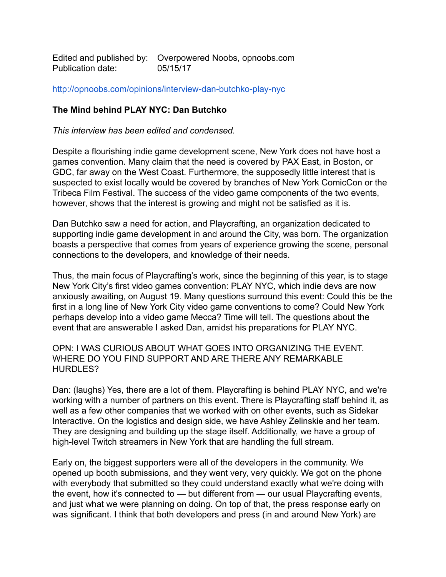Edited and published by: Overpowered Noobs, opnoobs.com Publication date: 05/15/17

<http://opnoobs.com/opinions/interview-dan-butchko-play-nyc>

## **The Mind behind PLAY NYC: Dan Butchko**

*This interview has been edited and condensed.*

Despite a flourishing indie game development scene, New York does not have host a games convention. Many claim that the need is covered by PAX East, in Boston, or GDC, far away on the West Coast. Furthermore, the supposedly little interest that is suspected to exist locally would be covered by branches of New York ComicCon or the Tribeca Film Festival. The success of the video game components of the two events, however, shows that the interest is growing and might not be satisfied as it is.

Dan Butchko saw a need for action, and Playcrafting, an organization dedicated to supporting indie game development in and around the City, was born. The organization boasts a perspective that comes from years of experience growing the scene, personal connections to the developers, and knowledge of their needs.

Thus, the main focus of Playcrafting's work, since the beginning of this year, is to stage New York City's first video games convention: PLAY NYC, which indie devs are now anxiously awaiting, on August 19. Many questions surround this event: Could this be the first in a long line of New York City video game conventions to come? Could New York perhaps develop into a video game Mecca? Time will tell. The questions about the event that are answerable I asked Dan, amidst his preparations for PLAY NYC.

OPN: I WAS CURIOUS ABOUT WHAT GOES INTO ORGANIZING THE EVENT. WHERE DO YOU FIND SUPPORT AND ARE THERE ANY REMARKABLE HURDLES?

Dan: (laughs) Yes, there are a lot of them. Playcrafting is behind PLAY NYC, and we're working with a number of partners on this event. There is Playcrafting staff behind it, as well as a few other companies that we worked with on other events, such as Sidekar Interactive. On the logistics and design side, we have Ashley Zelinskie and her team. They are designing and building up the stage itself. Additionally, we have a group of high-level Twitch streamers in New York that are handling the full stream.

Early on, the biggest supporters were all of the developers in the community. We opened up booth submissions, and they went very, very quickly. We got on the phone with everybody that submitted so they could understand exactly what we're doing with the event, how it's connected to — but different from — our usual Playcrafting events, and just what we were planning on doing. On top of that, the press response early on was significant. I think that both developers and press (in and around New York) are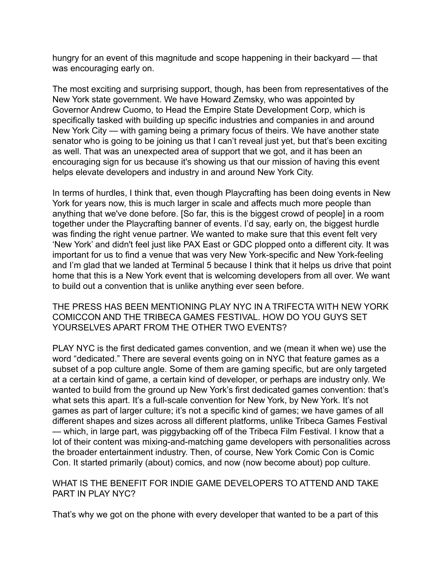hungry for an event of this magnitude and scope happening in their backyard — that was encouraging early on.

The most exciting and surprising support, though, has been from representatives of the New York state government. We have Howard Zemsky, who was appointed by Governor Andrew Cuomo, to Head the Empire State Development Corp, which is specifically tasked with building up specific industries and companies in and around New York City — with gaming being a primary focus of theirs. We have another state senator who is going to be joining us that I can't reveal just yet, but that's been exciting as well. That was an unexpected area of support that we got, and it has been an encouraging sign for us because it's showing us that our mission of having this event helps elevate developers and industry in and around New York City.

In terms of hurdles, I think that, even though Playcrafting has been doing events in New York for years now, this is much larger in scale and affects much more people than anything that we've done before. [So far, this is the biggest crowd of people] in a room together under the Playcrafting banner of events. I'd say, early on, the biggest hurdle was finding the right venue partner. We wanted to make sure that this event felt very 'New York' and didn't feel just like PAX East or GDC plopped onto a different city. It was important for us to find a venue that was very New York-specific and New York-feeling and I'm glad that we landed at Terminal 5 because I think that it helps us drive that point home that this is a New York event that is welcoming developers from all over. We want to build out a convention that is unlike anything ever seen before.

THE PRESS HAS BEEN MENTIONING PLAY NYC IN A TRIFECTA WITH NEW YORK COMICCON AND THE TRIBECA GAMES FESTIVAL. HOW DO YOU GUYS SET YOURSELVES APART FROM THE OTHER TWO EVENTS?

PLAY NYC is the first dedicated games convention, and we (mean it when we) use the word "dedicated." There are several events going on in NYC that feature games as a subset of a pop culture angle. Some of them are gaming specific, but are only targeted at a certain kind of game, a certain kind of developer, or perhaps are industry only. We wanted to build from the ground up New York's first dedicated games convention: that's what sets this apart. It's a full-scale convention for New York, by New York. It's not games as part of larger culture; it's not a specific kind of games; we have games of all different shapes and sizes across all different platforms, unlike Tribeca Games Festival — which, in large part, was piggybacking off of the Tribeca Film Festival. I know that a lot of their content was mixing-and-matching game developers with personalities across the broader entertainment industry. Then, of course, New York Comic Con is Comic Con. It started primarily (about) comics, and now (now become about) pop culture.

WHAT IS THE BENEFIT FOR INDIE GAME DEVELOPERS TO ATTEND AND TAKE PART IN PLAY NYC?

That's why we got on the phone with every developer that wanted to be a part of this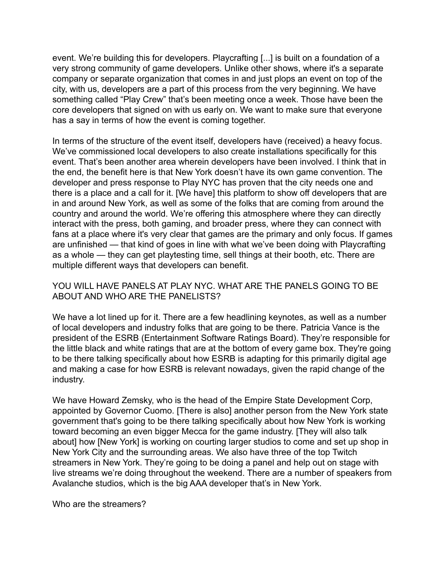event. We're building this for developers. Playcrafting [...] is built on a foundation of a very strong community of game developers. Unlike other shows, where it's a separate company or separate organization that comes in and just plops an event on top of the city, with us, developers are a part of this process from the very beginning. We have something called "Play Crew" that's been meeting once a week. Those have been the core developers that signed on with us early on. We want to make sure that everyone has a say in terms of how the event is coming together.

In terms of the structure of the event itself, developers have (received) a heavy focus. We've commissioned local developers to also create installations specifically for this event. That's been another area wherein developers have been involved. I think that in the end, the benefit here is that New York doesn't have its own game convention. The developer and press response to Play NYC has proven that the city needs one and there is a place and a call for it. [We have] this platform to show off developers that are in and around New York, as well as some of the folks that are coming from around the country and around the world. We're offering this atmosphere where they can directly interact with the press, both gaming, and broader press, where they can connect with fans at a place where it's very clear that games are the primary and only focus. If games are unfinished — that kind of goes in line with what we've been doing with Playcrafting as a whole — they can get playtesting time, sell things at their booth, etc. There are multiple different ways that developers can benefit.

## YOU WILL HAVE PANELS AT PLAY NYC. WHAT ARE THE PANELS GOING TO BE ABOUT AND WHO ARE THE PANELISTS?

We have a lot lined up for it. There are a few headlining keynotes, as well as a number of local developers and industry folks that are going to be there. Patricia Vance is the president of the ESRB (Entertainment Software Ratings Board). They're responsible for the little black and white ratings that are at the bottom of every game box. They're going to be there talking specifically about how ESRB is adapting for this primarily digital age and making a case for how ESRB is relevant nowadays, given the rapid change of the industry.

We have Howard Zemsky, who is the head of the Empire State Development Corp, appointed by Governor Cuomo. [There is also] another person from the New York state government that's going to be there talking specifically about how New York is working toward becoming an even bigger Mecca for the game industry. [They will also talk about] how [New York] is working on courting larger studios to come and set up shop in New York City and the surrounding areas. We also have three of the top Twitch streamers in New York. They're going to be doing a panel and help out on stage with live streams we're doing throughout the weekend. There are a number of speakers from Avalanche studios, which is the big AAA developer that's in New York.

Who are the streamers?